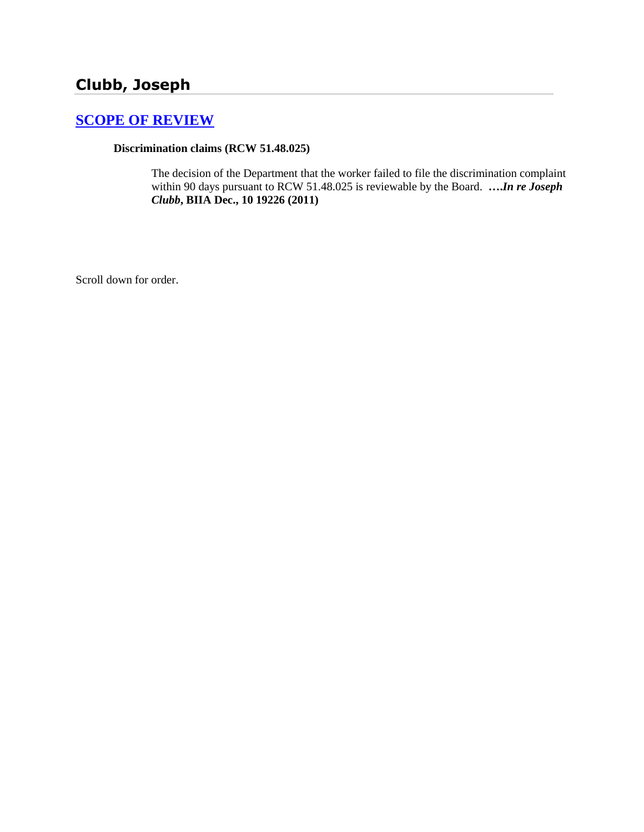## **Clubb, Joseph**

## **[SCOPE OF REVIEW](http://www.biia.wa.gov/SDSubjectIndex.html#SCOPE_OF_REVIEW)**

## **Discrimination claims (RCW 51.48.025)**

The decision of the Department that the worker failed to file the discrimination complaint within 90 days pursuant to RCW 51.48.025 is reviewable by the Board. **….***In re Joseph Clubb***, BIIA Dec., 10 19226 (2011)**

Scroll down for order.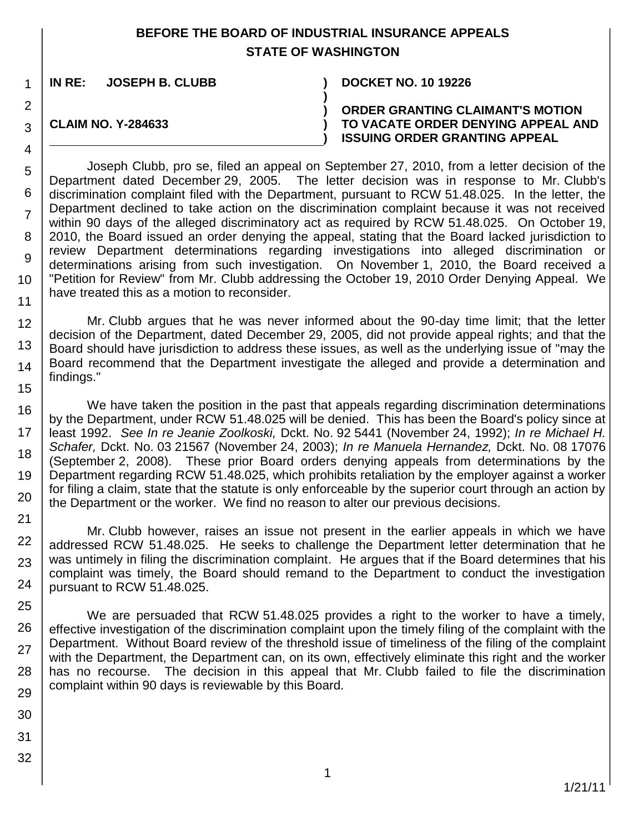## **BEFORE THE BOARD OF INDUSTRIAL INSURANCE APPEALS STATE OF WASHINGTON**

**)**

**) ) )**

**IN RE: JOSEPH B. CLUBB ) DOCKET NO. 10 19226**

**CLAIM NO. Y-284633**

1

2

3

4

5 6

7

8

9

10

11

**ORDER GRANTING CLAIMANT'S MOTION TO VACATE ORDER DENYING APPEAL AND ISSUING ORDER GRANTING APPEAL**

Joseph Clubb, pro se, filed an appeal on September 27, 2010, from a letter decision of the Department dated December 29, 2005. The letter decision was in response to Mr. Clubb's discrimination complaint filed with the Department, pursuant to RCW 51.48.025. In the letter, the Department declined to take action on the discrimination complaint because it was not received within 90 days of the alleged discriminatory act as required by RCW 51.48.025. On October 19, 2010, the Board issued an order denying the appeal, stating that the Board lacked jurisdiction to review Department determinations regarding investigations into alleged discrimination or determinations arising from such investigation. On November 1, 2010, the Board received a "Petition for Review" from Mr. Clubb addressing the October 19, 2010 Order Denying Appeal. We have treated this as a motion to reconsider.

12 13 14 15 Mr. Clubb argues that he was never informed about the 90-day time limit; that the letter decision of the Department, dated December 29, 2005, did not provide appeal rights; and that the Board should have jurisdiction to address these issues, as well as the underlying issue of "may the Board recommend that the Department investigate the alleged and provide a determination and findings."

16 17 18 19 20 We have taken the position in the past that appeals regarding discrimination determinations by the Department, under RCW 51.48.025 will be denied. This has been the Board's policy since at least 1992. *See In re Jeanie Zoolkoski,* Dckt. No. 92 5441 (November 24, 1992); *In re Michael H. Schafer,* Dckt. No. 03 21567 (November 24, 2003); *In re Manuela Hernandez,* Dckt. No. 08 17076 (September 2, 2008). These prior Board orders denying appeals from determinations by the Department regarding RCW 51.48.025, which prohibits retaliation by the employer against a worker for filing a claim, state that the statute is only enforceable by the superior court through an action by the Department or the worker. We find no reason to alter our previous decisions.

21 22 23 24 Mr. Clubb however, raises an issue not present in the earlier appeals in which we have addressed RCW 51.48.025. He seeks to challenge the Department letter determination that he was untimely in filing the discrimination complaint. He argues that if the Board determines that his complaint was timely, the Board should remand to the Department to conduct the investigation pursuant to RCW 51.48.025.

25 26 We are persuaded that RCW 51.48.025 provides a right to the worker to have a timely, effective investigation of the discrimination complaint upon the timely filing of the complaint with the Department. Without Board review of the threshold issue of timeliness of the filing of the complaint with the Department, the Department can, on its own, effectively eliminate this right and the worker has no recourse. The decision in this appeal that Mr. Clubb failed to file the discrimination complaint within 90 days is reviewable by this Board.

- 27 28 29
- 30
- 31
- 32